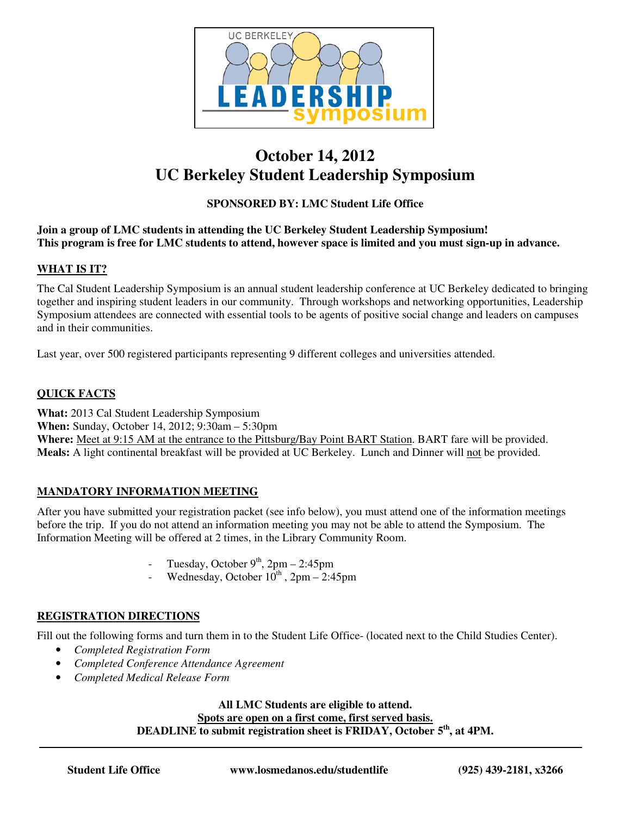

# **October 14, 2012 UC Berkeley Student Leadership Symposium**

### **SPONSORED BY: LMC Student Life Office**

#### **Join a group of LMC students in attending the UC Berkeley Student Leadership Symposium! This program is free for LMC students to attend, however space is limited and you must sign-up in advance.**

#### **WHAT IS IT?**

The Cal Student Leadership Symposium is an annual student leadership conference at UC Berkeley dedicated to bringing together and inspiring student leaders in our community. Through workshops and networking opportunities, Leadership Symposium attendees are connected with essential tools to be agents of positive social change and leaders on campuses and in their communities.

Last year, over 500 registered participants representing 9 different colleges and universities attended.

#### **QUICK FACTS**

**What:** 2013 Cal Student Leadership Symposium **When:** Sunday, October 14, 2012; 9:30am – 5:30pm **Where:** Meet at 9:15 AM at the entrance to the Pittsburg/Bay Point BART Station. BART fare will be provided. Meals: A light continental breakfast will be provided at UC Berkeley. Lunch and Dinner will not be provided.

#### **MANDATORY INFORMATION MEETING**

After you have submitted your registration packet (see info below), you must attend one of the information meetings before the trip. If you do not attend an information meeting you may not be able to attend the Symposium. The Information Meeting will be offered at 2 times, in the Library Community Room.

- Tuesday, October  $9<sup>th</sup>$ , 2pm 2:45pm
- Wednesday, October  $10^{th}$ , 2pm 2:45pm

### **REGISTRATION DIRECTIONS**

Fill out the following forms and turn them in to the Student Life Office- (located next to the Child Studies Center).

- *Completed Registration Form*
- *Completed Conference Attendance Agreement*
- *Completed Medical Release Form*

#### **All LMC Students are eligible to attend. Spots are open on a first come, first served basis. DEADLINE to submit registration sheet is FRIDAY, October 5th, at 4PM.**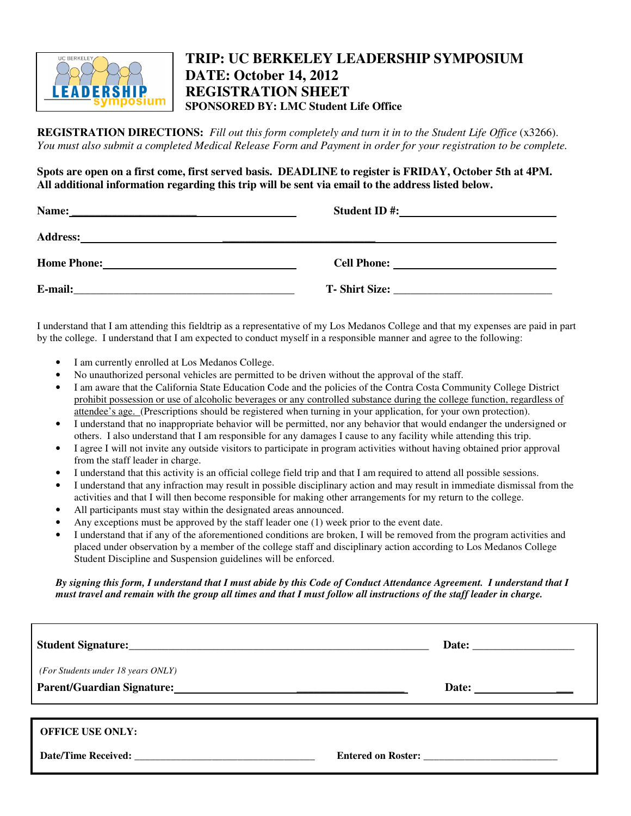

## **TRIP: UC BERKELEY LEADERSHIP SYMPOSIUM DATE: October 14, 2012 REGISTRATION SHEET SPONSORED BY: LMC Student Life Office**

**REGISTRATION DIRECTIONS:** *Fill out this form completely and turn it in to the Student Life Office* (x3266). *You must also submit a completed Medical Release Form and Payment in order for your registration to be complete.* 

**Spots are open on a first come, first served basis. DEADLINE to register is FRIDAY, October 5th at 4PM. All additional information regarding this trip will be sent via email to the address listed below.** 

| Name:              | <b>Student ID#:</b>                                                                                                  |
|--------------------|----------------------------------------------------------------------------------------------------------------------|
|                    | <u> 1980 - Andrea Andrew Maria (h. 1980).</u>                                                                        |
| <b>Address:</b>    | <u> 1980 - Jan Samuel Barbara, margaret amerikan dan berkembang di sebagai pertama dan berkembang dan berkembang</u> |
| <b>Home Phone:</b> | <b>Cell Phone:</b>                                                                                                   |
|                    |                                                                                                                      |
| E-mail:            | T - Shirt Size:                                                                                                      |

I understand that I am attending this fieldtrip as a representative of my Los Medanos College and that my expenses are paid in part by the college. I understand that I am expected to conduct myself in a responsible manner and agree to the following:

- I am currently enrolled at Los Medanos College.
- No unauthorized personal vehicles are permitted to be driven without the approval of the staff.
- I am aware that the California State Education Code and the policies of the Contra Costa Community College District prohibit possession or use of alcoholic beverages or any controlled substance during the college function, regardless of attendee's age. (Prescriptions should be registered when turning in your application, for your own protection).
- I understand that no inappropriate behavior will be permitted, nor any behavior that would endanger the undersigned or others. I also understand that I am responsible for any damages I cause to any facility while attending this trip.
- I agree I will not invite any outside visitors to participate in program activities without having obtained prior approval from the staff leader in charge.
- I understand that this activity is an official college field trip and that I am required to attend all possible sessions.
- I understand that any infraction may result in possible disciplinary action and may result in immediate dismissal from the activities and that I will then become responsible for making other arrangements for my return to the college.
- All participants must stay within the designated areas announced.
- Any exceptions must be approved by the staff leader one (1) week prior to the event date.
- I understand that if any of the aforementioned conditions are broken, I will be removed from the program activities and placed under observation by a member of the college staff and disciplinary action according to Los Medanos College Student Discipline and Suspension guidelines will be enforced.

*By signing this form, I understand that I must abide by this Code of Conduct Attendance Agreement. I understand that I must travel and remain with the group all times and that I must follow all instructions of the staff leader in charge.* 

| (For Students under 18 years ONLY) | Date: $\frac{1}{\sqrt{1-\frac{1}{2}} \cdot \frac{1}{2}}$ |
|------------------------------------|----------------------------------------------------------|
| <b>OFFICE USE ONLY:</b>            | Entered on Roster:                                       |